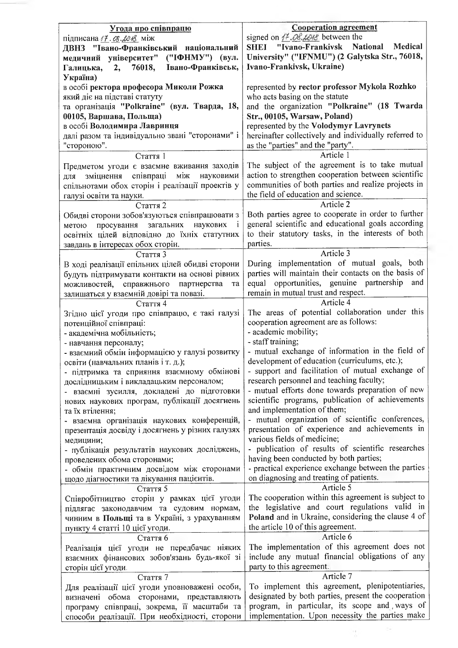| Угода про співпрацю                                                                               | <b>Cooperation agreement</b>                                                                          |
|---------------------------------------------------------------------------------------------------|-------------------------------------------------------------------------------------------------------|
| підписана / 7. 08. 20 18 між                                                                      | signed on $H$ . Ob. LOHS between the                                                                  |
| ДВНЗ "Івано-Франківський національний                                                             | Medical<br>SHEI "Ivano-Frankivsk National                                                             |
| медичний університет"<br>("ІФНМУ") (вул.                                                          | University" ("IFNMU") (2 Galytska Str., 76018,                                                        |
| Івано-Франківськ,<br>76018,<br>Галицька,<br>2,                                                    | Ivano-Frankivsk, Ukraine)                                                                             |
| Україна)<br>в особі ректора професора Миколи Рожка                                                | represented by rector professor Mykola Rozhko                                                         |
| який діє на підставі статуту                                                                      | who acts basing on the statute                                                                        |
| та організація "Polkraine" (вул. Тварда, 18,                                                      | and the organization "Polkraine" (18 Twarda                                                           |
| 00105, Варшава, Польща)                                                                           | Str., 00105, Warsaw, Poland)                                                                          |
| в особі Володимира Лавринця                                                                       | represented by the Volodymyr Lavrynets                                                                |
| далі разом та індивідуально звані "сторонами" і                                                   | hereinafter collectively and individually referred to                                                 |
| "стороною".                                                                                       | as the "parties" and the "party".                                                                     |
| Стаття 1                                                                                          | Article 1                                                                                             |
| Предметом угоди є взаємне вживання заходів                                                        | The subject of the agreement is to take mutual<br>action to strengthen cooperation between scientific |
| зміцнення співпраці<br>між<br>науковими<br>для<br>спільнотами обох сторін і реалізації проектів у | communities of both parties and realize projects in                                                   |
| галузі освіти та науки.                                                                           | the field of education and science.                                                                   |
| Стаття 2                                                                                          | Article 2                                                                                             |
| Обидві сторони зобов'язуються співпрацювати з                                                     | Both parties agree to cooperate in order to further                                                   |
| наукових<br>загальних<br>просування<br>метою                                                      | general scientific and educational goals according                                                    |
| освітніх цілей відповідно до їхніх статутних                                                      | to their statutory tasks, in the interests of both                                                    |
| завдань в інтересах обох сторін.                                                                  | parties.                                                                                              |
| Стаття 3                                                                                          | Article 3<br>During implementation of mutual goals, both                                              |
| В ході реалізації епільних цілей обидві сторони<br>будуть підтримувати контакти на основі рівних  | parties will maintain their contacts on the basis of                                                  |
| можливостей,<br>справжнього<br>партнерства<br>та                                                  | equal opportunities, genuine partnership and                                                          |
| залишаться у взаємній довірі та повазі.                                                           | remain in mutual trust and respect.                                                                   |
| Стаття 4                                                                                          | Article 4                                                                                             |
| Згідно цієї угоди про співпрацю, є такі галузі                                                    | The areas of potential collaboration under this                                                       |
| потенційної співпраці:                                                                            | cooperation agreement are as follows:                                                                 |
| - академічна мобільність;                                                                         | - academic mobility;                                                                                  |
| - навчання персоналу;<br>- взаємний обмін інформацією у галузі розвитку                           | - staff training;<br>- mutual exchange of information in the field of                                 |
| освіти (навчальних планів і т. д.);                                                               | development of education (curriculums, etc.);                                                         |
| - підтримка та сприяння взаємному обмінові                                                        | - support and facilitation of mutual exchange of                                                      |
| дослідницьким і викладацьким персоналом;                                                          | research personnel and teaching faculty;                                                              |
| - взаємні зусилля, докладені до підготовки                                                        | - mutual efforts done towards preparation of new                                                      |
| нових наукових програм, публікації досягнень                                                      | scientific programs, publication of achievements                                                      |
| та їх втілення;                                                                                   | and implementation of them;<br>- mutual organization of scientific conferences,                       |
| - взаємна організація наукових конференцій,<br>презентація досвіду і досягнень у різних галузях   | presentation of experience and achievements in                                                        |
| медицини;                                                                                         | various fields of medicine;                                                                           |
| - публікація результатів наукових досліджень,                                                     | - publication of results of scientific researches                                                     |
| проведених обома сторонами;                                                                       | having been conducted by both parties;                                                                |
| - обмін практичним досвідом між сторонами                                                         | - practical experience exchange between the parties                                                   |
| щодо діагностики та лікування пацієнтів.                                                          | on diagnosing and treating of patients.                                                               |
| Стаття 5                                                                                          | Article 5<br>The cooperation within this agreement is subject to                                      |
| Співробітництво сторін у рамках цієї угоди<br>підлягає законодавчим та судовим нормам,            | the legislative and court regulations valid in                                                        |
| чинним в Польщі та в Україні, з урахуванням                                                       | Poland and in Ukraine, considering the clause 4 of                                                    |
| пункту 4 статті 10 цієї угоди.                                                                    | the article 10 of this agreement.                                                                     |
| Стаття 6                                                                                          | Article 6                                                                                             |
| Реалізація цієї угоди не передбачає ніяких                                                        | The implementation of this agreement does not                                                         |
| взаємних фінансових зобов'язань будь-якої зі                                                      | include any mutual financial obligations of any                                                       |
| сторін цієї угоди.                                                                                | party to this agreement.<br>Article 7                                                                 |
| Стаття 7<br>Для реалізації цієї угоди уповноважені особи,                                         | To implement this agreement, plenipotentiaries,                                                       |
| визначені обома сторонами, представляють                                                          | designated by both parties, present the cooperation                                                   |
| програму співпраці, зокрема, її масштаби та                                                       | program, in particular, its scope and ways of                                                         |
| способи реалізації. При необхідності, сторони                                                     | implementation. Upon necessity the parties make                                                       |
|                                                                                                   |                                                                                                       |
|                                                                                                   |                                                                                                       |